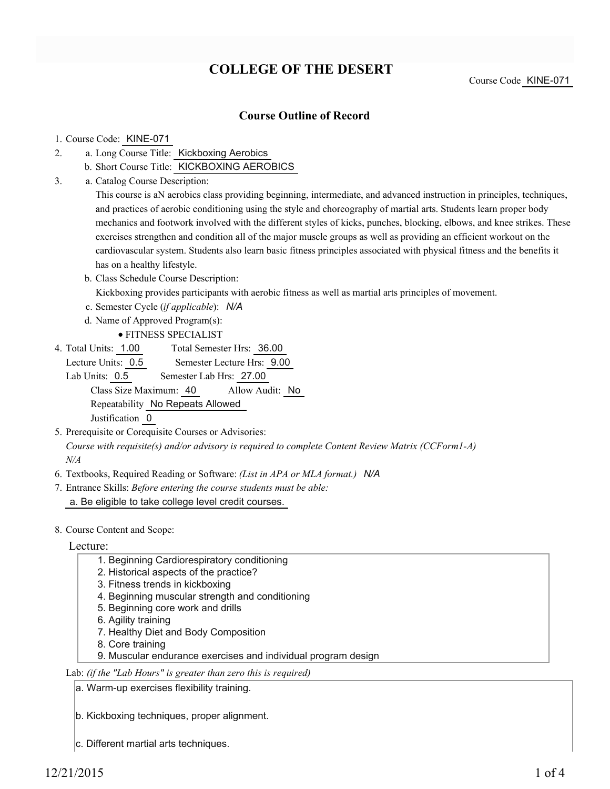# **COLLEGE OF THE DESERT**

Course Code KINE-071

## **Course Outline of Record**

#### 1. Course Code: KINE-071

- a. Long Course Title: Kickboxing Aerobics 2.
	- b. Short Course Title: KICKBOXING AEROBICS
- Catalog Course Description: a. 3.

This course is aN aerobics class providing beginning, intermediate, and advanced instruction in principles, techniques, and practices of aerobic conditioning using the style and choreography of martial arts. Students learn proper body mechanics and footwork involved with the different styles of kicks, punches, blocking, elbows, and knee strikes. These exercises strengthen and condition all of the major muscle groups as well as providing an efficient workout on the cardiovascular system. Students also learn basic fitness principles associated with physical fitness and the benefits it has on a healthy lifestyle.

- b. Class Schedule Course Description:
	- Kickboxing provides participants with aerobic fitness as well as martial arts principles of movement.
- c. Semester Cycle (*if applicable*): *N/A*
- d. Name of Approved Program(s):
	- FITNESS SPECIALIST
- Total Semester Hrs: 36.00 4. Total Units: 1.00

Lecture Units: 0.5 Semester Lecture Hrs: 9.00

Lab Units: 0.5 Semester Lab Hrs: 27.00 Class Size Maximum: 40 Allow Audit: No Repeatability No Repeats Allowed Justification 0

- 5. Prerequisite or Corequisite Courses or Advisories: *Course with requisite(s) and/or advisory is required to complete Content Review Matrix (CCForm1-A) N/A*
- 6. Textbooks, Required Reading or Software: *(List in APA or MLA format.) N/A*

Entrance Skills: *Before entering the course students must be able:* 7. a. Be eligible to take college level credit courses.

8. Course Content and Scope:

Lecture:

- 1. Beginning Cardiorespiratory conditioning
- 2. Historical aspects of the practice?
- 3. Fitness trends in kickboxing
- 4. Beginning muscular strength and conditioning
- 5. Beginning core work and drills
- 6. Agility training
- 7. Healthy Diet and Body Composition
- 8. Core training
- 9. Muscular endurance exercises and individual program design

Lab: *(if the "Lab Hours" is greater than zero this is required)*

a. Warm-up exercises flexibility training.

- b. Kickboxing techniques, proper alignment.
- c. Different martial arts techniques.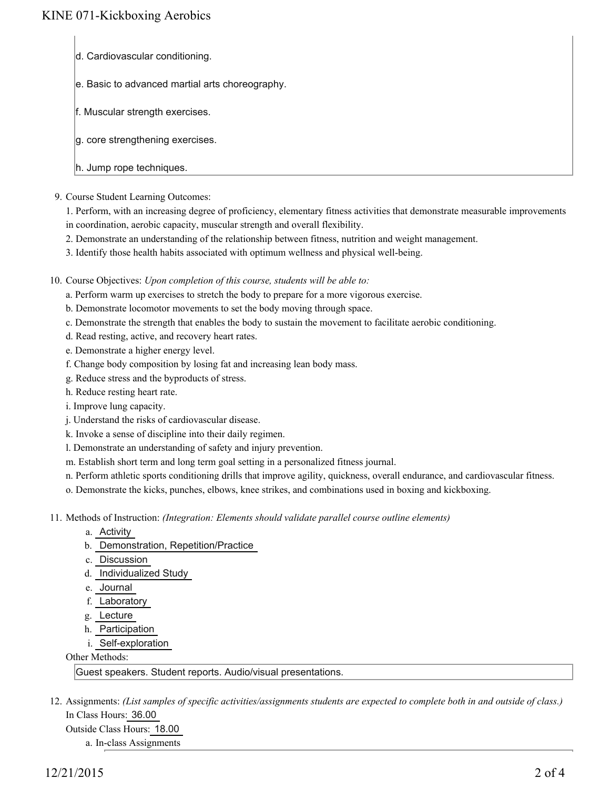- d. Cardiovascular conditioning.
- e. Basic to advanced martial arts choreography.
- f. Muscular strength exercises.
- g. core strengthening exercises.
- h. Jump rope techniques.
- 9. Course Student Learning Outcomes:

1. Perform, with an increasing degree of proficiency, elementary fitness activities that demonstrate measurable improvements in coordination, aerobic capacity, muscular strength and overall flexibility.

- 2. Demonstrate an understanding of the relationship between fitness, nutrition and weight management.
- 3. Identify those health habits associated with optimum wellness and physical well-being.
- 10. Course Objectives: Upon completion of this course, students will be able to:
	- a. Perform warm up exercises to stretch the body to prepare for a more vigorous exercise.
	- b. Demonstrate locomotor movements to set the body moving through space.
	- c. Demonstrate the strength that enables the body to sustain the movement to facilitate aerobic conditioning.
	- d. Read resting, active, and recovery heart rates.
	- e. Demonstrate a higher energy level.
	- f. Change body composition by losing fat and increasing lean body mass.
	- g. Reduce stress and the byproducts of stress.
	- h. Reduce resting heart rate.
	- i. Improve lung capacity.
	- j. Understand the risks of cardiovascular disease.
	- k. Invoke a sense of discipline into their daily regimen.
	- l. Demonstrate an understanding of safety and injury prevention.
	- m. Establish short term and long term goal setting in a personalized fitness journal.
	- n. Perform athletic sports conditioning drills that improve agility, quickness, overall endurance, and cardiovascular fitness.
	- o. Demonstrate the kicks, punches, elbows, knee strikes, and combinations used in boxing and kickboxing.
- 11. Methods of Instruction: *(Integration: Elements should validate parallel course outline elements)* 
	- a. Activity
	- b. Demonstration, Repetition/Practice
	- c. Discussion
	- d. Individualized Study
	- e. Journal
	- f. Laboratory
	- g. Lecture
	- h. Participation
	- i. Self-exploration

### Other Methods:

Guest speakers. Student reports. Audio/visual presentations.

- 12. Assignments: (List samples of specific activities/assignments students are expected to complete both in and outside of class.) In Class Hours: 36.00
	- Outside Class Hours: 18.00
		- a. In-class Assignments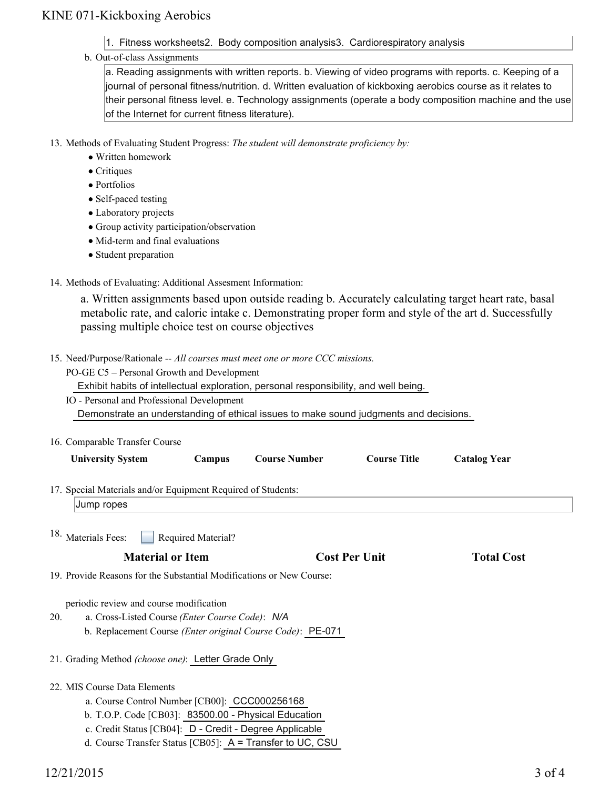# KINE 071-Kickboxing Aerobics

- 1. Fitness worksheets2. Body composition analysis3. Cardiorespiratory analysis
- b. Out-of-class Assignments

a. Reading assignments with written reports. b. Viewing of video programs with reports. c. Keeping of a journal of personal fitness/nutrition. d. Written evaluation of kickboxing aerobics course as it relates to their personal fitness level. e. Technology assignments (operate a body composition machine and the use of the Internet for current fitness literature).

13. Methods of Evaluating Student Progress: The student will demonstrate proficiency by:

- Written homework
- Critiques
- Portfolios
- Self-paced testing
- Laboratory projects
- Group activity participation/observation
- Mid-term and final evaluations
- Student preparation
- 14. Methods of Evaluating: Additional Assesment Information:

a. Written assignments based upon outside reading b. Accurately calculating target heart rate, basal metabolic rate, and caloric intake c. Demonstrating proper form and style of the art d. Successfully passing multiple choice test on course objectives

- 15. Need/Purpose/Rationale -- All courses must meet one or more CCC missions.
	- PO-GE C5 Personal Growth and Development

Exhibit habits of intellectual exploration, personal responsibility, and well being.

| IO - Personal and Professional Development                                            |
|---------------------------------------------------------------------------------------|
| Demonstrate an understanding of ethical issues to make sound judgments and decisions. |
|                                                                                       |

| 16. Comparable Transfer Course                                                                                 |        |                                                            |                     |                     |  |
|----------------------------------------------------------------------------------------------------------------|--------|------------------------------------------------------------|---------------------|---------------------|--|
| <b>University System</b>                                                                                       | Campus | <b>Course Number</b>                                       | <b>Course Title</b> | <b>Catalog Year</b> |  |
| 17. Special Materials and/or Equipment Required of Students:                                                   |        |                                                            |                     |                     |  |
| Jump ropes                                                                                                     |        |                                                            |                     |                     |  |
| <sup>18.</sup> Materials Fees:<br><b>Required Material?</b><br><b>Material or Item</b><br><b>Cost Per Unit</b> |        |                                                            |                     | <b>Total Cost</b>   |  |
| 19. Provide Reasons for the Substantial Modifications or New Course:                                           |        |                                                            |                     |                     |  |
| periodic review and course modification<br>20.<br>a. Cross-Listed Course (Enter Course Code): N/A              |        | b. Replacement Course (Enter original Course Code): PE-071 |                     |                     |  |

21. Grading Method *(choose one)*: Letter Grade Only

- 22. MIS Course Data Elements
	- a. Course Control Number [CB00]: CCC000256168
	- b. T.O.P. Code [CB03]: 83500.00 Physical Education
	- c. Credit Status [CB04]: D Credit Degree Applicable
	- d. Course Transfer Status [CB05]: A = Transfer to UC, CSU